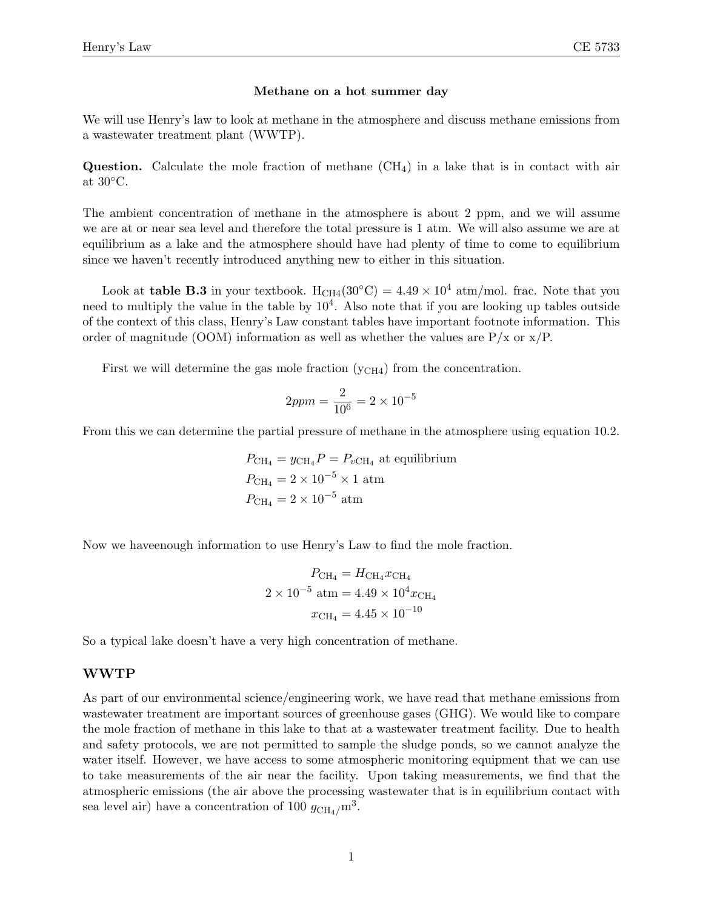## Methane on a hot summer day

We will use Henry's law to look at methane in the atmosphere and discuss methane emissions from a wastewater treatment plant (WWTP).

Question. Calculate the mole fraction of methane (CH4) in a lake that is in contact with air at  $30^{\circ}$ C.

The ambient concentration of methane in the atmosphere is about 2 ppm, and we will assume we are at or near sea level and therefore the total pressure is 1 atm. We will also assume we are at equilibrium as a lake and the atmosphere should have had plenty of time to come to equilibrium since we haven't recently introduced anything new to either in this situation.

Look at **table B.3** in your textbook.  $H_{CH4}(30^{\circ}C) = 4.49 \times 10^{4}$  atm/mol. frac. Note that you need to multiply the value in the table by  $10^4$ . Also note that if you are looking up tables outside of the context of this class, Henry's Law constant tables have important footnote information. This order of magnitude (OOM) information as well as whether the values are  $P/x$  or  $x/P$ .

First we will determine the gas mole fraction  $(v<sub>CH4</sub>)$  from the concentration.

$$
2ppm = \frac{2}{10^6} = 2 \times 10^{-5}
$$

From this we can determine the partial pressure of methane in the atmosphere using equation 10.2.

$$
P_{\text{CH}_4} = y_{\text{CH}_4} P = P_{v \text{CH}_4} \text{ at equilibrium}
$$
  

$$
P_{\text{CH}_4} = 2 \times 10^{-5} \times 1 \text{ atm}
$$
  

$$
P_{\text{CH}_4} = 2 \times 10^{-5} \text{ atm}
$$

Now we haveenough information to use Henry's Law to find the mole fraction.

$$
P_{\text{CH}_4} = H_{\text{CH}_4} x_{\text{CH}_4}
$$

$$
2 \times 10^{-5} \text{ atm} = 4.49 \times 10^{4} x_{\text{CH}_4}
$$

$$
x_{\text{CH}_4} = 4.45 \times 10^{-10}
$$

So a typical lake doesn't have a very high concentration of methane.

## WWTP

As part of our environmental science/engineering work, we have read that methane emissions from wastewater treatment are important sources of greenhouse gases (GHG). We would like to compare the mole fraction of methane in this lake to that at a wastewater treatment facility. Due to health and safety protocols, we are not permitted to sample the sludge ponds, so we cannot analyze the water itself. However, we have access to some atmospheric monitoring equipment that we can use to take measurements of the air near the facility. Upon taking measurements, we find that the atmospheric emissions (the air above the processing wastewater that is in equilibrium contact with sea level air) have a concentration of 100  $g_{\text{CH}_4}/\text{m}^3$ .